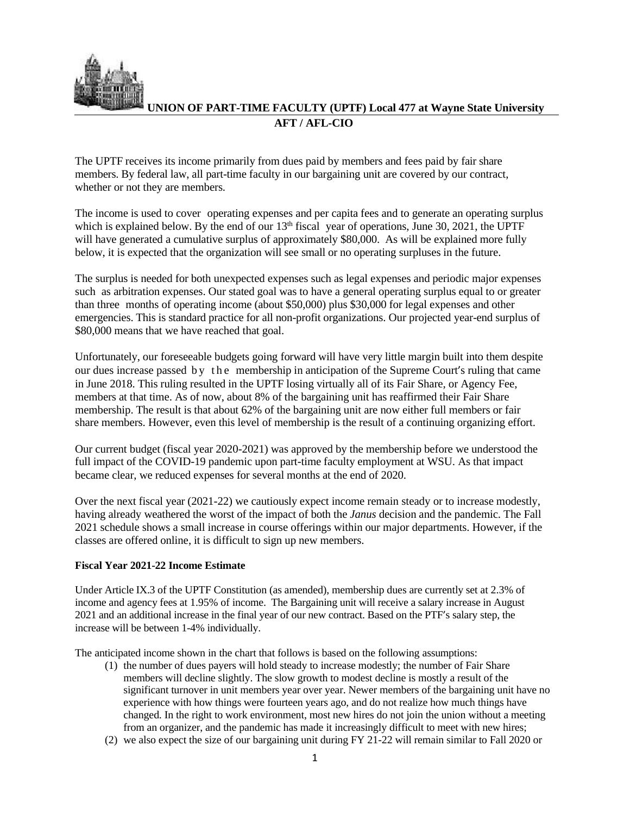

**UNION OF PART-TIME FACULTY (UPTF) Local 477 at Wayne State University AFT / AFL-CIO**

The UPTF receives its income primarily from dues paid by members and fees paid by fair share members. By federal law, all part-time faculty in our bargaining unit are covered by our contract, whether or not they are members.

The income is used to cover operating expenses and per capita fees and to generate an operating surplus which is explained below. By the end of our  $13<sup>th</sup>$  fiscal year of operations, June 30, 2021, the UPTF will have generated a cumulative surplus of approximately \$80,000. As will be explained more fully below, it is expected that the organization will see small or no operating surpluses in the future.

The surplus is needed for both unexpected expenses such as legal expenses and periodic major expenses such as arbitration expenses. Our stated goal was to have a general operating surplus equal to or greater than three months of operating income (about \$50,000) plus \$30,000 for legal expenses and other emergencies. This is standard practice for all non-profit organizations. Our projected year-end surplus of \$80,000 means that we have reached that goal.

Unfortunately, our foreseeable budgets going forward will have very little margin built into them despite our dues increase passed by the membership in anticipation of the Supreme Court's ruling that came in June 2018. This ruling resulted in the UPTF losing virtually all of its Fair Share, or Agency Fee, members at that time. As of now, about 8% of the bargaining unit has reaffirmed their Fair Share membership. The result is that about 62% of the bargaining unit are now either full members or fair share members. However, even this level of membership is the result of a continuing organizing effort.

Our current budget (fiscal year 2020-2021) was approved by the membership before we understood the full impact of the COVID-19 pandemic upon part-time faculty employment at WSU. As that impact became clear, we reduced expenses for several months at the end of 2020.

Over the next fiscal year (2021-22) we cautiously expect income remain steady or to increase modestly, having already weathered the worst of the impact of both the *Janus* decision and the pandemic. The Fall 2021 schedule shows a small increase in course offerings within our major departments. However, if the classes are offered online, it is difficult to sign up new members.

## **Fiscal Year 2021-22 Income Estimate**

Under Article IX.3 of the UPTF Constitution (as amended), membership dues are currently set at 2.3% of income and agency fees at 1.95% of income. The Bargaining unit will receive a salary increase in August 2021 and an additional increase in the final year of our new contract. Based on the PTF's salary step, the increase will be between 1-4% individually.

The anticipated income shown in the chart that follows is based on the following assumptions:

- (1) the number of dues payers will hold steady to increase modestly; the number of Fair Share members will decline slightly. The slow growth to modest decline is mostly a result of the significant turnover in unit members year over year. Newer members of the bargaining unit have no experience with how things were fourteen years ago, and do not realize how much things have changed. In the right to work environment, most new hires do not join the union without a meeting from an organizer, and the pandemic has made it increasingly difficult to meet with new hires;
- (2) we also expect the size of our bargaining unit during FY 21-22 will remain similar to Fall 2020 or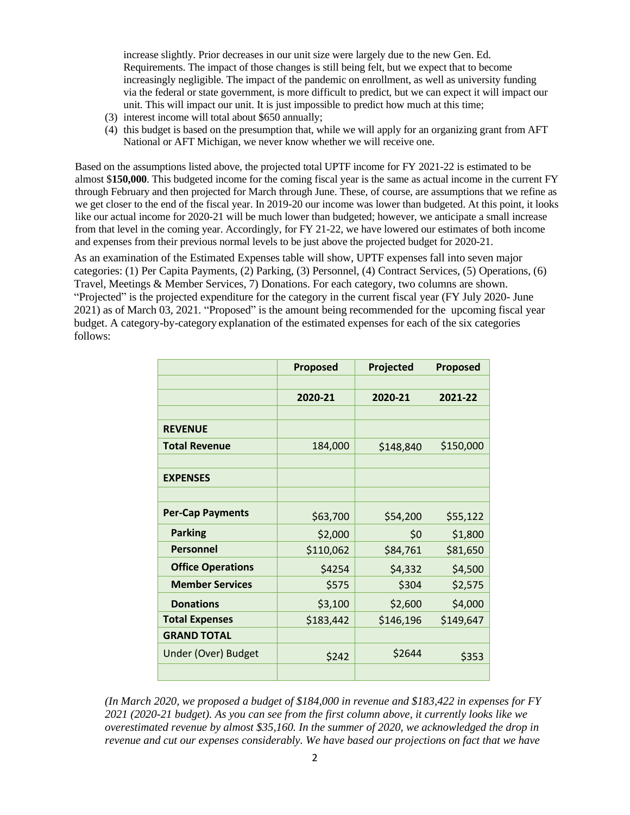increase slightly. Prior decreases in our unit size were largely due to the new Gen. Ed. Requirements. The impact of those changes is still being felt, but we expect that to become increasingly negligible. The impact of the pandemic on enrollment, as well as university funding via the federal or state government, is more difficult to predict, but we can expect it will impact our unit. This will impact our unit. It is just impossible to predict how much at this time;

- (3) interest income will total about \$650 annually;
- (4) this budget is based on the presumption that, while we will apply for an organizing grant from AFT National or AFT Michigan, we never know whether we will receive one.

Based on the assumptions listed above, the projected total UPTF income for FY 2021-22 is estimated to be almost \$**150,000**. This budgeted income for the coming fiscal year is the same as actual income in the current FY through February and then projected for March through June. These, of course, are assumptions that we refine as we get closer to the end of the fiscal year. In 2019-20 our income was lower than budgeted. At this point, it looks like our actual income for 2020-21 will be much lower than budgeted; however, we anticipate a small increase from that level in the coming year. Accordingly, for FY 21-22, we have lowered our estimates of both income and expenses from their previous normal levels to be just above the projected budget for 2020-21.

As an examination of the Estimated Expenses table will show, UPTF expenses fall into seven major categories: (1) Per Capita Payments, (2) Parking, (3) Personnel, (4) Contract Services, (5) Operations, (6) Travel, Meetings & Member Services, 7) Donations. For each category, two columns are shown. "Projected" is the projected expenditure for the category in the current fiscal year (FY July 2020- June 2021) as of March 03, 2021. "Proposed" is the amount being recommended for the upcoming fiscal year budget. A category-by-category explanation of the estimated expenses for each of the six categories follows:

|                          | <b>Proposed</b> | Projected | <b>Proposed</b> |
|--------------------------|-----------------|-----------|-----------------|
|                          |                 |           |                 |
|                          | 2020-21         | 2020-21   | 2021-22         |
|                          |                 |           |                 |
| <b>REVENUE</b>           |                 |           |                 |
| <b>Total Revenue</b>     | 184,000         | \$148,840 | \$150,000       |
|                          |                 |           |                 |
| <b>EXPENSES</b>          |                 |           |                 |
|                          |                 |           |                 |
| <b>Per-Cap Payments</b>  | \$63,700        | \$54,200  | \$55,122        |
| <b>Parking</b>           | \$2,000         | \$0       | \$1,800         |
| Personnel                | \$110,062       | \$84,761  | \$81,650        |
| <b>Office Operations</b> | \$4254          | \$4,332   | \$4,500         |
| <b>Member Services</b>   | \$575           | \$304     | \$2,575         |
| <b>Donations</b>         | \$3,100         | \$2,600   | \$4,000         |
| <b>Total Expenses</b>    | \$183,442       | \$146,196 | \$149,647       |
| <b>GRAND TOTAL</b>       |                 |           |                 |
| Under (Over) Budget      | \$242           | \$2644    | \$353           |
|                          |                 |           |                 |

*(In March 2020, we proposed a budget of \$184,000 in revenue and \$183,422 in expenses for FY 2021 (2020-21 budget). As you can see from the first column above, it currently looks like we overestimated revenue by almost \$35,160. In the summer of 2020, we acknowledged the drop in revenue and cut our expenses considerably. We have based our projections on fact that we have*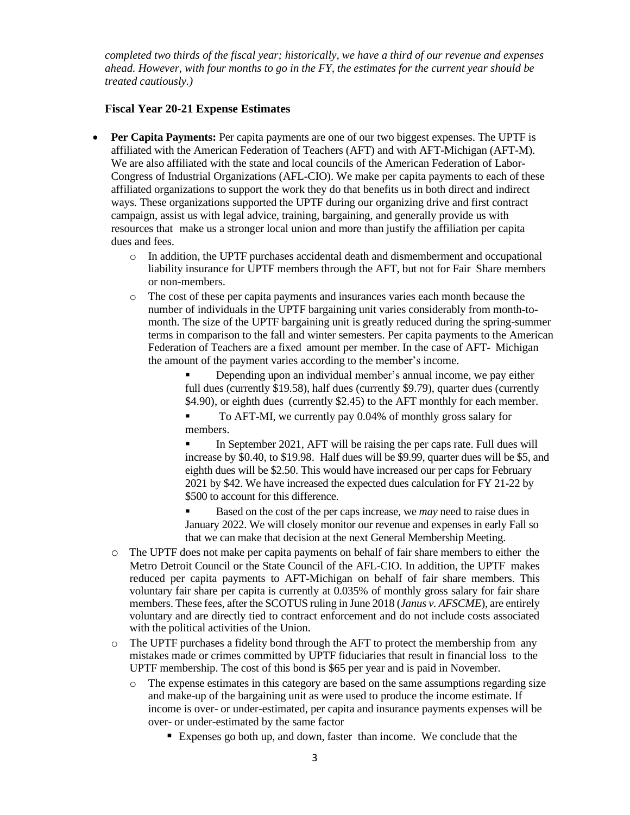*completed two thirds of the fiscal year; historically, we have a third of our revenue and expenses ahead. However, with four months to go in the FY, the estimates for the current year should be treated cautiously.)*

## **Fiscal Year 20-21 Expense Estimates**

- **Per Capita Payments:** Per capita payments are one of our two biggest expenses. The UPTF is affiliated with the American Federation of Teachers (AFT) and with AFT-Michigan (AFT-M). We are also affiliated with the state and local councils of the American Federation of Labor-Congress of Industrial Organizations (AFL-CIO). We make per capita payments to each of these affiliated organizations to support the work they do that benefits us in both direct and indirect ways. These organizations supported the UPTF during our organizing drive and first contract campaign, assist us with legal advice, training, bargaining, and generally provide us with resources that make us a stronger local union and more than justify the affiliation per capita dues and fees.
	- o In addition, the UPTF purchases accidental death and dismemberment and occupational liability insurance for UPTF members through the AFT, but not for Fair Share members or non-members.
	- o The cost of these per capita payments and insurances varies each month because the number of individuals in the UPTF bargaining unit varies considerably from month-tomonth. The size of the UPTF bargaining unit is greatly reduced during the spring-summer terms in comparison to the fall and winter semesters. Per capita payments to the American Federation of Teachers are a fixed amount per member. In the case of AFT- Michigan the amount of the payment varies according to the member's income.
		- Depending upon an individual member's annual income, we pay either full dues (currently \$19.58), half dues (currently \$9.79), quarter dues (currently \$4.90), or eighth dues (currently \$2.45) to the AFT monthly for each member.
		- To AFT-MI, we currently pay 0.04% of monthly gross salary for members.

In September 2021, AFT will be raising the per caps rate. Full dues will increase by \$0.40, to \$19.98. Half dues will be \$9.99, quarter dues will be \$5, and eighth dues will be \$2.50. This would have increased our per caps for February 2021 by \$42. We have increased the expected dues calculation for FY 21-22 by \$500 to account for this difference.

Based on the cost of the per caps increase, we *may* need to raise dues in January 2022. We will closely monitor our revenue and expenses in early Fall so that we can make that decision at the next General Membership Meeting.

- o The UPTF does not make per capita payments on behalf of fair share members to either the Metro Detroit Council or the State Council of the AFL-CIO. In addition, the UPTF makes reduced per capita payments to AFT-Michigan on behalf of fair share members. This voluntary fair share per capita is currently at 0.035% of monthly gross salary for fair share members. These fees, after the SCOTUS ruling in June 2018 (*Janus v. AFSCME*), are entirely voluntary and are directly tied to contract enforcement and do not include costs associated with the political activities of the Union.
- $\circ$  The UPTF purchases a fidelity bond through the AFT to protect the membership from any mistakes made or crimes committed by UPTF fiduciaries that result in financial loss to the UPTF membership. The cost of this bond is \$65 per year and is paid in November.
	- o The expense estimates in this category are based on the same assumptions regarding size and make-up of the bargaining unit as were used to produce the income estimate. If income is over- or under-estimated, per capita and insurance payments expenses will be over- or under-estimated by the same factor
		- Expenses go both up, and down, faster than income. We conclude that the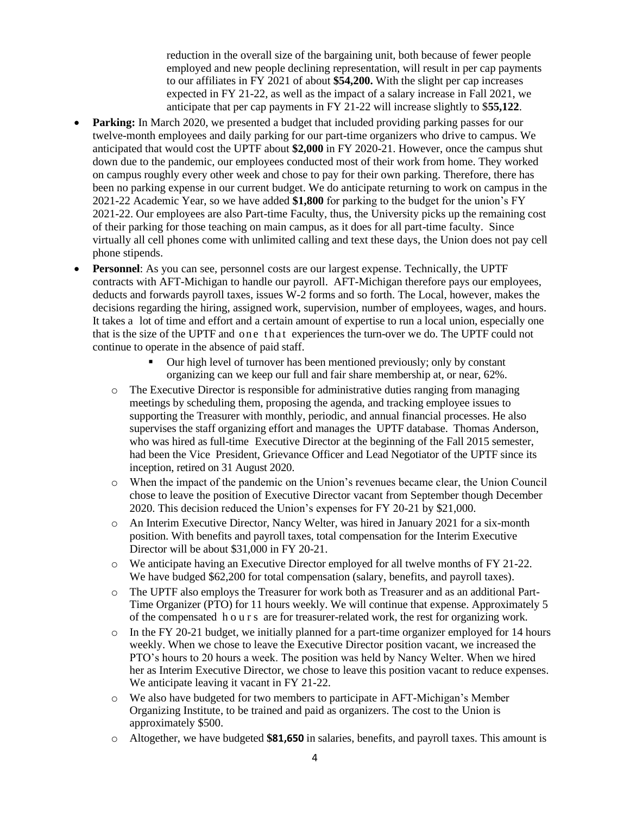reduction in the overall size of the bargaining unit, both because of fewer people employed and new people declining representation, will result in per cap payments to our affiliates in FY 2021 of about **\$54,200.** With the slight per cap increases expected in FY 21-22, as well as the impact of a salary increase in Fall 2021, we anticipate that per cap payments in FY 21-22 will increase slightly to \$**55,122**.

- **Parking:** In March 2020, we presented a budget that included providing parking passes for our twelve-month employees and daily parking for our part-time organizers who drive to campus. We anticipated that would cost the UPTF about **\$2,000** in FY 2020-21. However, once the campus shut down due to the pandemic, our employees conducted most of their work from home. They worked on campus roughly every other week and chose to pay for their own parking. Therefore, there has been no parking expense in our current budget. We do anticipate returning to work on campus in the 2021-22 Academic Year, so we have added **\$1,800** for parking to the budget for the union's FY 2021-22. Our employees are also Part-time Faculty, thus, the University picks up the remaining cost of their parking for those teaching on main campus, as it does for all part-time faculty. Since virtually all cell phones come with unlimited calling and text these days, the Union does not pay cell phone stipends.
- **Personnel:** As you can see, personnel costs are our largest expense. Technically, the UPTF contracts with AFT-Michigan to handle our payroll. AFT-Michigan therefore pays our employees, deducts and forwards payroll taxes, issues W-2 forms and so forth. The Local, however, makes the decisions regarding the hiring, assigned work, supervision, number of employees, wages, and hours. It takes a lot of time and effort and a certain amount of expertise to run a local union, especially one that is the size of the UPTF and one that experiences the turn-over we do. The UPTF could not continue to operate in the absence of paid staff.
	- Our high level of turnover has been mentioned previously; only by constant organizing can we keep our full and fair share membership at, or near, 62%.
	- o The Executive Director is responsible for administrative duties ranging from managing meetings by scheduling them, proposing the agenda, and tracking employee issues to supporting the Treasurer with monthly, periodic, and annual financial processes. He also supervises the staff organizing effort and manages the UPTF database. Thomas Anderson, who was hired as full-time Executive Director at the beginning of the Fall 2015 semester, had been the Vice President, Grievance Officer and Lead Negotiator of the UPTF since its inception, retired on 31 August 2020.
	- o When the impact of the pandemic on the Union's revenues became clear, the Union Council chose to leave the position of Executive Director vacant from September though December 2020. This decision reduced the Union's expenses for FY 20-21 by \$21,000.
	- o An Interim Executive Director, Nancy Welter, was hired in January 2021 for a six-month position. With benefits and payroll taxes, total compensation for the Interim Executive Director will be about \$31,000 in FY 20-21.
	- o We anticipate having an Executive Director employed for all twelve months of FY 21-22. We have budged \$62,200 for total compensation (salary, benefits, and payroll taxes).
	- o The UPTF also employs the Treasurer for work both as Treasurer and as an additional Part-Time Organizer (PTO) for 11 hours weekly. We will continue that expense. Approximately 5 of the compensated h o u r s are for treasurer-related work, the rest for organizing work.
	- $\circ$  In the FY 20-21 budget, we initially planned for a part-time organizer employed for 14 hours weekly. When we chose to leave the Executive Director position vacant, we increased the PTO's hours to 20 hours a week. The position was held by Nancy Welter. When we hired her as Interim Executive Director, we chose to leave this position vacant to reduce expenses. We anticipate leaving it vacant in FY 21-22.
	- o We also have budgeted for two members to participate in AFT-Michigan's Member Organizing Institute, to be trained and paid as organizers. The cost to the Union is approximately \$500.
	- o Altogether, we have budgeted **\$81,650** in salaries, benefits, and payroll taxes. This amount is